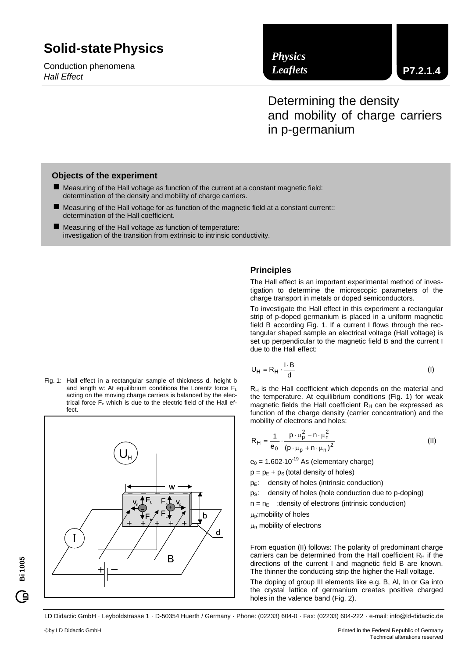# **Solid-state Physics Solid-statePhysics**

Conduction phenomena *Hall Effect* 

# *Physics Leaflets*

**P7.2.1.4**

Determining the density and mobility of charge carriers in p-germanium

# **Objects of the experiment**

- Measuring of the Hall voltage as function of the current at a constant magnetic field: determination of the density and mobility of charge carriers.
- Measuring of the Hall voltage for as function of the magnetic field at a constant current:: determination of the Hall coefficient.
- Measuring of the Hall voltage as function of temperature: investigation of the transition from extrinsic to intrinsic conductivity.

#### Fig. 1: Hall effect in a rectangular sample of thickness d, height b and length w: At equilibrium conditions the Lorentz force  $F_L$ acting on the moving charge carriers is balanced by the electrical force F<sub>e</sub> which is due to the electric field of the Hall effect.



# **Principles**

The Hall effect is an important experimental method of investigation to determine the microscopic parameters of the charge transport in metals or doped semiconductors.

To investigate the Hall effect in this experiment a rectangular strip of p-doped germanium is placed in a uniform magnetic field B according Fig. 1. If a current I flows through the rectangular shaped sample an electrical voltage (Hall voltage) is set up perpendicular to the magnetic field B and the current I due to the Hall effect:

$$
U_H = R_H \cdot \frac{I \cdot B}{d} \tag{I}
$$

 $R_H$  is the Hall coefficient which depends on the material and the temperature. At equilibrium conditions (Fig. 1) for weak magnetic fields the Hall coefficient  $R_H$  can be expressed as function of the charge density (carrier concentration) and the mobility of electrons and holes:

$$
R_{H} = \frac{1}{e_0} \cdot \frac{p \cdot \mu_p^2 - n \cdot \mu_n^2}{(p \cdot \mu_p + n \cdot \mu_n)^2}
$$
 (II)

 $e_0$  = 1.602 $\cdot$ 10<sup>-19</sup> As (elementary charge)

 $p = p<sub>E</sub> + p<sub>S</sub>$  (total density of holes)

- $p_E$ : density of holes (intrinsic conduction)
- p<sub>S</sub>: density of holes (hole conduction due to p-doping)
- $n = n_F$  : density of electrons (intrinsic conduction)

 $\mu_{p}$ : mobility of holes

 $\mu_n$  mobility of electrons

From equation (II) follows: The polarity of predominant charge carriers can be determined from the Hall coefficient  $R_H$  if the directions of the current I and magnetic field B are known. The thinner the conducting strip the higher the Hall voltage.

The doping of group III elements like e.g. B, Al, In or Ga into the crystal lattice of germanium creates positive charged holes in the valence band (Fig. 2).

LD Didactic GmbH . Leyboldstrasse 1 . D-50354 Huerth / Germany . Phone: (02233) 604-0 . Fax: (02233) 604-222 . e-mail: info@ld-didactic.de

**Bi 1005**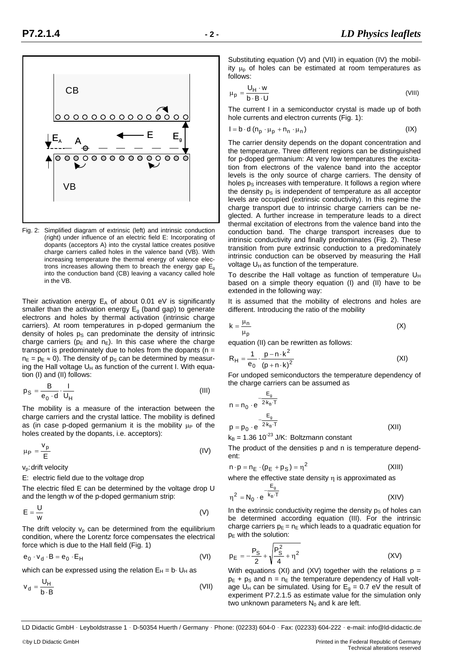

Fig. 2: Simplified diagram of extrinsic (left) and intrinsic conduction (right) under influence of an electric field E: Incorporating of dopants (acceptors A) into the crystal lattice creates positive charge carriers called holes in the valence band (VB). With increasing temperature the thermal energy of valence electrons increases allowing them to breach the energy gap  $E_q$ into the conduction band (CB) leaving a vacancy called hole in the VB.

Their activation energy  $E_A$  of about 0.01 eV is significantly smaller than the activation energy  $E<sub>g</sub>$  (band gap) to generate electrons and holes by thermal activation (intrinsic charge carriers). At room temperatures in p-doped germanium the density of holes  $p_S$  can predominate the density of intrinsic charge carriers ( $p_E$  and  $n_E$ ). In this case where the charge transport is predominately due to holes from the dopants ( $n =$  $n_E = p_E \approx 0$ ). The density of  $p_S$  can be determined by measuring the Hall voltage  $U_H$  as function of the current I. With equation (I) and (II) follows:

$$
p_S = \frac{B}{e_0 \cdot d} \cdot \frac{I}{U_H} \tag{III}
$$

The mobility is a measure of the interaction between the charge carriers and the crystal lattice. The mobility is defined as (in case p-doped germanium it is the mobility  $\mu_P$  of the holes created by the dopants, i.e. acceptors):

$$
\mu_{\rm P} = \frac{v_{\rm p}}{\rm E} \tag{IV}
$$

v<sub>p</sub>: drift velocity

E: electric field due to the voltage drop

The electric filed E can be determined by the voltage drop U and the length w of the p-doped germanium strip:

$$
E = \frac{U}{w}
$$
 (V)

The drift velocity  $v_p$  can be determined from the equilibrium condition, where the Lorentz force compensates the electrical force which is due to the Hall field (Fig. 1)

$$
e_0 \cdot v_d \cdot B = e_0 \cdot E_H \tag{VI}
$$

which can be expressed using the relation  $E_H = b \cdot U_H$  as

$$
v_d = \frac{U_H}{b \cdot B} \tag{VII}
$$

Substituting equation (V) and (VII) in equation (IV) the mobility  $\mu_{p}$  of holes can be estimated at room temperatures as follows:

$$
\mu_{\rm p} = \frac{U_{\rm H} \cdot w}{b \cdot B \cdot U} \tag{VIII}
$$

The current I in a semiconductor crystal is made up of both hole currents and electron currents (Fig. 1):

$$
I = b \cdot d (n_p \cdot \mu_p + n_n \cdot \mu_n)
$$
 (IX)

The carrier density depends on the dopant concentration and the temperature. Three different regions can be distinguished for p-doped germanium: At very low temperatures the excitation from electrons of the valence band into the acceptor levels is the only source of charge carriers. The density of holes  $p<sub>S</sub>$  increases with temperature. It follows a region where the density  $p_S$  is independent of temperature as all acceptor levels are occupied (extrinsic conductivity). In this regime the charge transport due to intrinsic charge carriers can be neglected. A further increase in temperature leads to a direct thermal excitation of electrons from the valence band into the conduction band. The charge transport increases due to intrinsic conductivity and finally predominates (Fig. 2). These transition from pure extrinsic conduction to a predominately intrinsic conduction can be observed by measuring the Hall voltage  $U_H$  as function of the temperature.

To describe the Hall voltage as function of temperature  $U_H$ based on a simple theory equation (I) and (II) have to be extended in the following way:

It is assumed that the mobility of electrons and holes are different. Introducing the ratio of the mobility

$$
k = \frac{\mu_n}{\mu_p} \tag{X}
$$

equation (II) can be rewritten as follows:

$$
R_{H} = \frac{1}{e_0} \cdot \frac{p - n \cdot k^2}{(p + n \cdot k)^2}
$$
 (XI)

For undoped semiconductors the temperature dependency of the charge carriers can be assumed as

$$
n = n_0 \cdot e^{-\frac{E_g}{2k_B \cdot T}}
$$
  
\n
$$
p = p_0 \cdot e^{-\frac{E_g}{2k_B \cdot T}}
$$
\n(XII)

 $k_B$  = 1.36 10<sup>-23</sup> J/K: Boltzmann constant

The product of the densities p and n is temperature dependent:

$$
n \cdot p = n_E \cdot (p_E + p_S) = \eta^2 \tag{XIII}
$$

where the effective state density  $\eta$  is approximated as

$$
\eta^2 = N_0 \cdot e^{-\frac{E_g}{k_B \cdot T}}
$$
 (XIV)

In the extrinsic conductivity regime the density  $p_S$  of holes can be determined according equation (III). For the intrinsic charge carriers  $p_E = n_E$  which leads to a quadratic equation for  $p<sub>E</sub>$  with the solution:

$$
p_{E} = -\frac{P_{S}}{2} + \sqrt{\frac{P_{S}^{2}}{4} + \eta^{2}}
$$
 (XV)

With equations (XI) and (XV) together with the relations  $p =$  $p<sub>E</sub> + p<sub>S</sub>$  and n = n<sub>E</sub> the temperature dependency of Hall voltage U<sub>H</sub> can be simulated. Using for  $E_g = 0.7$  eV the result of experiment P7.2.1.5 as estimate value for the simulation only two unknown parameters  $N_0$  and k are left.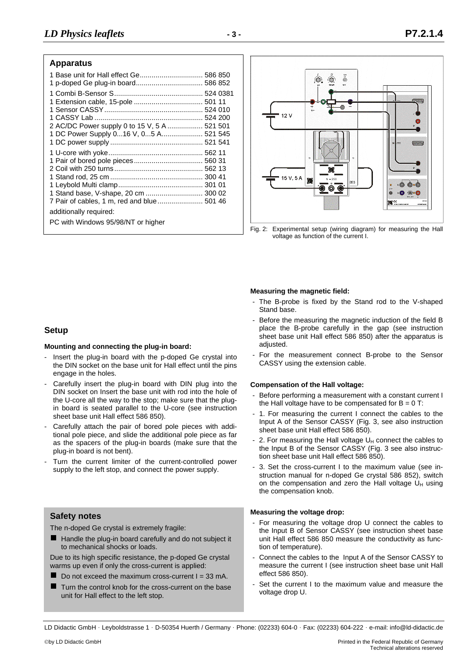## **Apparatus**

| 1 Base unit for Hall effect Ge 586 850                                                                                                              |  |
|-----------------------------------------------------------------------------------------------------------------------------------------------------|--|
| 2 AC/DC Power supply 0 to 15 V, 5 A  521 501<br>1 DC Power Supply 016 V, 05 A 521 545                                                               |  |
| 1 Stand base, V-shape, 20 cm  300 02<br>7 Pair of cables, 1 m, red and blue  501 46<br>additionally required:<br>PC with Windows 95/98/NT or higher |  |



Fig. 2: Experimental setup (wiring diagram) for measuring the Hall voltage as function of the current I.

#### **Measuring the magnetic field:**

- The B-probe is fixed by the Stand rod to the V-shaped Stand base.
- Before the measuring the magnetic induction of the field B place the B-probe carefully in the gap (see instruction sheet base unit Hall effect 586 850) after the apparatus is adjusted.
- For the measurement connect B-probe to the Sensor CASSY using the extension cable.

#### **Compensation of the Hall voltage:**

- Before performing a measurement with a constant current I the Hall voltage have to be compensated for  $B = 0$  T:
- 1. For measuring the current I connect the cables to the Input A of the Sensor CASSY (Fig. 3, see also instruction sheet base unit Hall effect 586 850).
- 2. For measuring the Hall voltage  $U_H$  connect the cables to the Input B of the Sensor CASSY (Fig. 3 see also instruction sheet base unit Hall effect 586 850).
- 3. Set the cross-current I to the maximum value (see instruction manual for n-doped Ge crystal 586 852), switch on the compensation and zero the Hall voltage  $U_H$  using the compensation knob.

# **Measuring the voltage drop: Safety notes**

- For measuring the voltage drop U connect the cables to the Input B of Sensor CASSY (see instruction sheet base unit Hall effect 586 850 measure the conductivity as function of temperature).
- Connect the cables to the Input A of the Sensor CASSY to measure the current I (see instruction sheet base unit Hall effect 586 850).
- Set the current I to the maximum value and measure the voltage drop U.

LD Didactic GmbH . Leyboldstrasse 1 . D-50354 Huerth / Germany . Phone: (02233) 604-0 . Fax: (02233) 604-222 . e-mail: info@ld-didactic.de

# **Setup**

#### **Mounting and connecting the plug-in board:**

- Insert the plug-in board with the p-doped Ge crystal into the DIN socket on the base unit for Hall effect until the pins engage in the holes.
- Carefully insert the plug-in board with DIN plug into the DIN socket on Insert the base unit with rod into the hole of the U-core all the way to the stop; make sure that the plugin board is seated parallel to the U-core (see instruction sheet base unit Hall effect 586 850).
- Carefully attach the pair of bored pole pieces with additional pole piece, and slide the additional pole piece as far as the spacers of the plug-in boards (make sure that the plug-in board is not bent).
- Turn the current limiter of the current-controlled power supply to the left stop, and connect the power supply.

The n-doped Ge crystal is extremely fragile:

Handle the plug-in board carefully and do not subject it to mechanical shocks or loads.

Due to its high specific resistance, the p-doped Ge crystal warms up even if only the cross-current is applied:

- Do not exceed the maximum cross-current  $I = 33$  mA.
- Turn the control knob for the cross-current on the base unit for Hall effect to the left stop.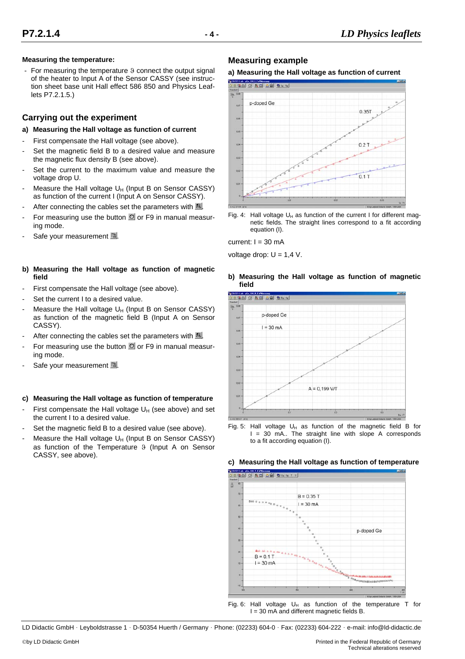## **Measuring the temperature:**

For measuring the temperature 9 connect the output signal of the heater to Input A of the Sensor CASSY (see instruction sheet base unit Hall effect 586 850 and Physics Leaflets P7.2.1.5.)

# **Carrying out the experiment**

## **a) Measuring the Hall voltage as function of current**

- First compensate the Hall voltage (see above).
- Set the magnetic field B to a desired value and measure the magnetic flux density B (see above).
- Set the current to the maximum value and measure the voltage drop U.
- Measure the Hall voltage  $U_H$  (Input B on Sensor CASSY) as function of the current I (Input A on Sensor CASSY).
- After connecting the cables set the parameters with  $\mathbb{S}$ .
- For measuring use the button  $\bullet$  or F9 in manual measuring mode.
- Safe your measurement ...
- **b) Measuring the Hall voltage as function of magnetic field**
- First compensate the Hall voltage (see above).
- Set the current I to a desired value.
- Measure the Hall voltage  $U_H$  (Input B on Sensor CASSY) as function of the magnetic field B (Input A on Sensor CASSY).
- After connecting the cables set the parameters with  $\mathbb{R}$ .
- For measuring use the button  $\bullet$  or F9 in manual measuring mode.
- Safe your measurement ...

#### **c) Measuring the Hall voltage as function of temperature**

- First compensate the Hall voltage  $U_H$  (see above) and set the current I to a desired value.
- Set the magnetic field B to a desired value (see above).
- Measure the Hall voltage  $U_H$  (Input B on Sensor CASSY) as function of the Temperature 9 (Input A on Sensor CASSY, see above).

# **Measuring example**





Fig. 4: Hall voltage  $U_H$  as function of the current I for different magnetic fields. The straight lines correspond to a fit according equation (I).

current:  $I = 30$  mA

voltage drop:  $U = 1,4$  V.

#### **b) Measuring the Hall voltage as function of magnetic field**



Fig. 5: Hall voltage  $U_H$  as function of the magnetic field B for I = 30 mA.. The straight line with slope A corresponds to a fit according equation (I).

#### **c) Measuring the Hall voltage as function of temperature**



Fig. 6: Hall voltage  $U_H$  as function of the temperature T for I = 30 mA and different magnetic fields B.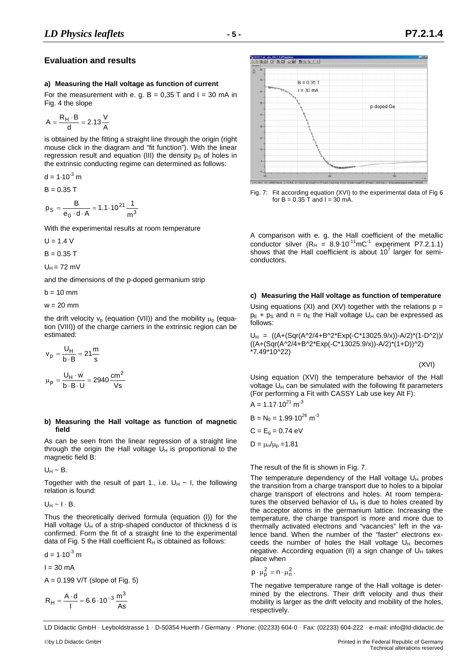# **Evaluation and results**

#### **a) Measuring the Hall voltage as function of current**

For the measurement with e. g.  $B = 0.35$  T and  $I = 30$  mA in Fig. 4 the slope

$$
A = \frac{R_H \cdot B}{d} = 2.13 \frac{V}{A}
$$

is obtained by the fitting a straight line through the origin (right mouse click in the diagram and "fit function"). With the linear regression result and equation (III) the density  $p<sub>S</sub>$  of holes in the extrinsic conducting regime can determined as follows:

d = 1.10<sup>-3</sup> m  
B = 0.35 T  

$$
P_S = \frac{B}{e_0 \cdot d \cdot A} = 1.1 \cdot 10^{21} \frac{1}{m^3}
$$

With the experimental results at room temperature

 $U = 1.4 V$ 

 $B = 0.35$  T

 $U_H$  = 72 mV

and the dimensions of the p-doped germanium strip

 $b = 10$  mm

 $w = 20$  mm

the drift velocity  $v_p$  (equation (VII)) and the mobility  $\mu_p$  (equation (VIII)) of the charge carriers in the extrinsic region can be estimated:

$$
v_p = \frac{U_H}{b \cdot B} = 21 \frac{m}{s}
$$

$$
\mu_p = \frac{U_H \cdot w}{b \cdot B \cdot U} = 2940 \frac{cm^2}{Vs}
$$

#### **b) Measuring the Hall voltage as function of magnetic field**

As can be seen from the linear regression of a straight line through the origin the Hall voltage  $U_H$  is proportional to the magnetic field B:

 $U_H \sim B$ .

Together with the result of part 1., i.e.  $U_H \sim I$ , the following relation is found:

 $U_H \sim I \cdot B$ .

Thus the theoretically derived formula (equation (I)) for the Hall voltage  $U_H$  of a strip-shaped conductor of thickness d is confirmed. Form the fit of a straight line to the experimental data of Fig. 5 the Hall coefficient  $R_H$  is obtained as follows:

 $d = 1.10^{-3}$  m

 $I = 30$  mA

 $A = 0.199$  V/T (slope of Fig. 5)

$$
R_H = \frac{A \cdot d}{I} = 6.6 \cdot 10^{-3} \frac{m^3}{As}
$$



Fig. 7: Fit according equation (XVI) to the experimental data of Fig 6 for  $B = 0.35$  T and  $I = 30$  mA.

A comparison with e. g. the Hall coefficient of the metallic conductor silver  $(R_H = 8.9 \cdot 10^{-11} \text{mC}^{-1}$  experiment P7.2.1.1) shows that the Hall coefficient is about  $10^7$  larger for semiconductors.

# **c) Measuring the Hall voltage as function of temperature**

Using equations (XI) and (XV) together with the relations  $p =$  $p_E + p_S$  and  $n = n_E$  the Hall voltage  $U_H$  can be expressed as follows:

 $U_H = ((A+(Sqr(A'2/4+B'2*Exp(-C*13025.9/x))-A/2)*(1-D'2))/$ ((A+(Sqr(A^2/4+B^2\*Exp(-C\*13025.9/x))-A/2)\*(1+D))^2) \*7.49\*10^22)

$$
(XVI)
$$

Using equation (XVI) the temperature behavior of the Hall voltage  $U_H$  can be simulated with the following fit parameters (For performing a Fit with CASSY Lab use key Alt F):

$$
A = 1.17 \cdot 10^{21} \text{ m}^{-3}
$$
  
\n
$$
B = N_0 = 1.99 \cdot 10^{26} \text{ m}^{-3}
$$
  
\n
$$
C = E_g = 0.74 \text{ eV}
$$
  
\n
$$
D = \mu_r / \mu_p = 1.81
$$

The result of the fit is shown in Fig. 7.

The temperature dependency of the Hall voltage  $U_H$  probes the transition from a charge transport due to holes to a bipolar charge transport of electrons and holes. At room temperatures the observed behavior of  $U_H$  is due to holes created by the acceptor atoms in the germanium lattice. Increasing the temperature, the charge transport is more and more due to thermally activated electrons and "vacancies" left in the valence band. When the number of the "faster" electrons exceeds the number of holes the Hall voltage  $U_H$  becomes negative. According equation (II) a sign change of  $U_H$  takes place when

$$
p\cdot \mu_p^2=n\cdot \mu_n^2\,.
$$

The negative temperature range of the Hall voltage is determined by the electrons. Their drift velocity and thus their mobility is larger as the drift velocity and mobility of the holes, respectively.